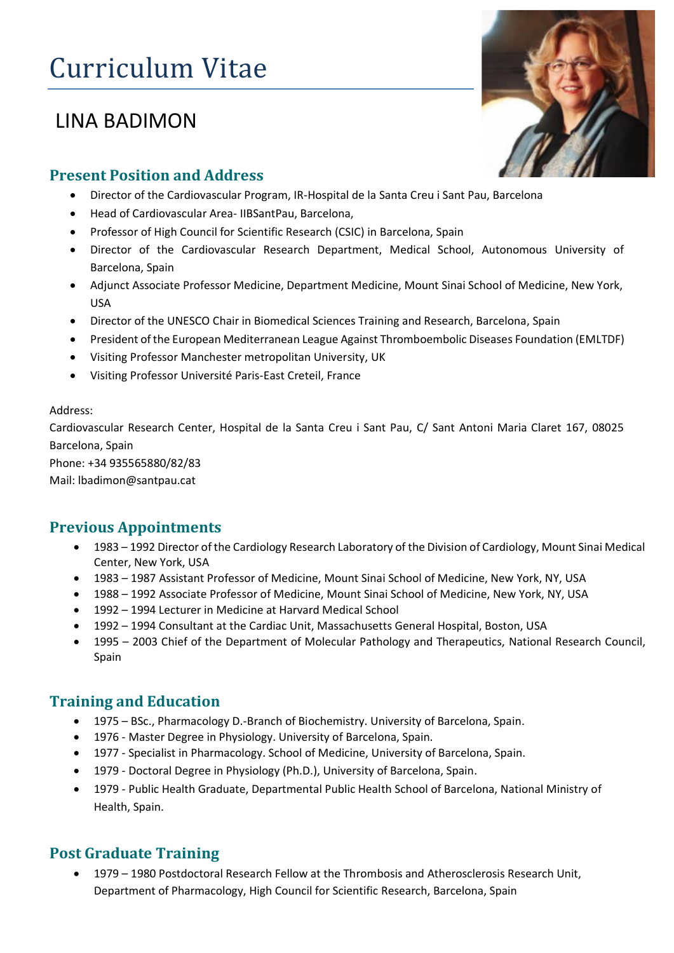# Curriculum Vitae

## LINA BADIMON

#### **Present Position and Address**

- Director of the Cardiovascular Program, IR-Hospital de la Santa Creu i Sant Pau, Barcelona
- Head of Cardiovascular Area- IIBSantPau, Barcelona,
- Professor of High Council for Scientific Research (CSIC) in Barcelona, Spain
- Director of the Cardiovascular Research Department, Medical School, Autonomous University of Barcelona, Spain
- Adjunct Associate Professor Medicine, Department Medicine, Mount Sinai School of Medicine, New York, USA
- Director of the UNESCO Chair in Biomedical Sciences Training and Research, Barcelona, Spain
- President of the European Mediterranean League Against Thromboembolic Diseases Foundation (EMLTDF)
- Visiting Professor Manchester metropolitan University, UK
- Visiting Professor Université Paris-East Creteil, France

#### Address:

Cardiovascular Research Center, Hospital de la Santa Creu i Sant Pau, C/ Sant Antoni Maria Claret 167, 08025 Barcelona, Spain

Phone: +34 935565880/82/83

Mail: lbadimon@santpau.cat

## **Previous Appointments**

- 1983 1992 Director of the Cardiology Research Laboratory of the Division of Cardiology, Mount Sinai Medical Center, New York, USA
- 1983 1987 Assistant Professor of Medicine, Mount Sinai School of Medicine, New York, NY, USA
- 1988 1992 Associate Professor of Medicine, Mount Sinai School of Medicine, New York, NY, USA
- 1992 1994 Lecturer in Medicine at Harvard Medical School
- 1992 1994 Consultant at the Cardiac Unit, Massachusetts General Hospital, Boston, USA
- 1995 2003 Chief of the Department of Molecular Pathology and Therapeutics, National Research Council, Spain

## **Training and Education**

- 1975 BSc., Pharmacology D.-Branch of Biochemistry. University of Barcelona, Spain.
- 1976 Master Degree in Physiology. University of Barcelona, Spain.
- 1977 Specialist in Pharmacology. School of Medicine, University of Barcelona, Spain.
- 1979 Doctoral Degree in Physiology (Ph.D.), University of Barcelona, Spain.
- 1979 Public Health Graduate, Departmental Public Health School of Barcelona, National Ministry of Health, Spain.

## **Post Graduate Training**

• 1979 – 1980 Postdoctoral Research Fellow at the Thrombosis and Atherosclerosis Research Unit, Department of Pharmacology, High Council for Scientific Research, Barcelona, Spain

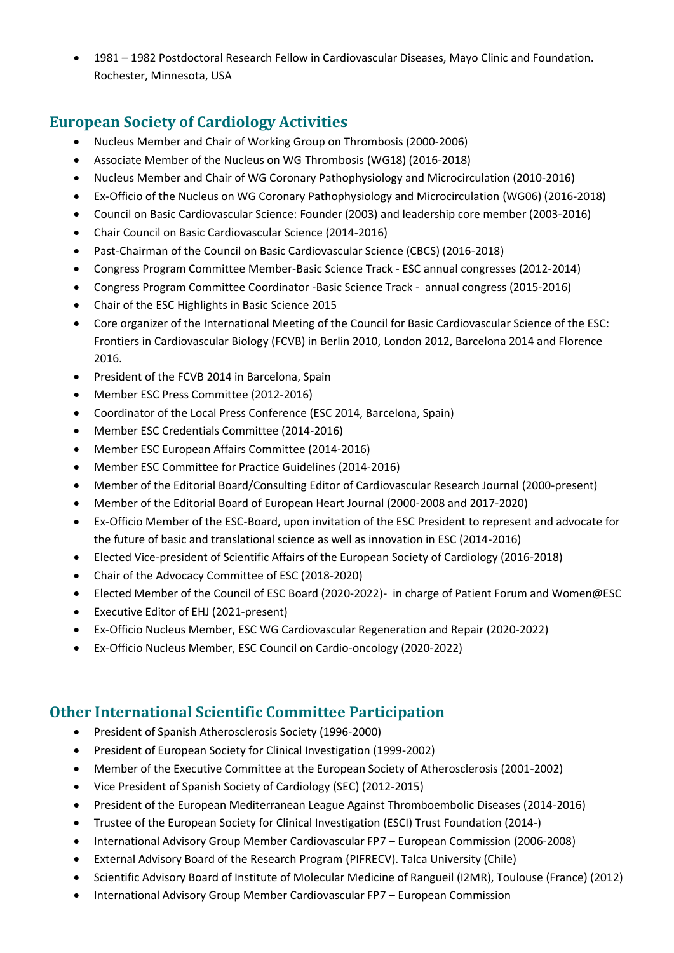• 1981 – 1982 Postdoctoral Research Fellow in Cardiovascular Diseases, Mayo Clinic and Foundation. Rochester, Minnesota, USA

## **European Society of Cardiology Activities**

- Nucleus Member and Chair of Working Group on Thrombosis (2000-2006)
- Associate Member of the Nucleus on WG Thrombosis (WG18) (2016-2018)
- Nucleus Member and Chair of WG Coronary Pathophysiology and Microcirculation (2010-2016)
- Ex-Officio of the Nucleus on WG Coronary Pathophysiology and Microcirculation (WG06) (2016-2018)
- Council on Basic Cardiovascular Science: Founder (2003) and leadership core member (2003-2016)
- Chair Council on Basic Cardiovascular Science (2014-2016)
- Past-Chairman of the Council on Basic Cardiovascular Science (CBCS) (2016-2018)
- Congress Program Committee Member-Basic Science Track ESC annual congresses (2012-2014)
- Congress Program Committee Coordinator -Basic Science Track annual congress (2015-2016)
- Chair of the ESC Highlights in Basic Science 2015
- Core organizer of the International Meeting of the Council for Basic Cardiovascular Science of the ESC: Frontiers in Cardiovascular Biology (FCVB) in Berlin 2010, London 2012, Barcelona 2014 and Florence 2016.
- President of the FCVB 2014 in Barcelona, Spain
- Member ESC Press Committee (2012-2016)
- Coordinator of the Local Press Conference (ESC 2014, Barcelona, Spain)
- Member ESC Credentials Committee (2014-2016)
- Member ESC European Affairs Committee (2014-2016)
- Member ESC Committee for Practice Guidelines (2014-2016)
- Member of the Editorial Board/Consulting Editor of Cardiovascular Research Journal (2000-present)
- Member of the Editorial Board of European Heart Journal (2000-2008 and 2017-2020)
- Ex-Officio Member of the ESC-Board, upon invitation of the ESC President to represent and advocate for the future of basic and translational science as well as innovation in ESC (2014-2016)
- Elected Vice-president of Scientific Affairs of the European Society of Cardiology (2016-2018)
- Chair of the Advocacy Committee of ESC (2018-2020)
- Elected Member of the Council of ESC Board (2020-2022)- in charge of Patient Forum and Women@ESC
- Executive Editor of EHJ (2021-present)
- Ex-Officio Nucleus Member, ESC WG Cardiovascular Regeneration and Repair (2020-2022)
- Ex-Officio Nucleus Member, ESC Council on Cardio-oncology (2020-2022)

#### **Other International Scientific Committee Participation**

- President of Spanish Atherosclerosis Society (1996-2000)
- President of European Society for Clinical Investigation (1999-2002)
- Member of the Executive Committee at the European Society of Atherosclerosis (2001-2002)
- Vice President of Spanish Society of Cardiology (SEC) (2012-2015)
- President of the European Mediterranean League Against Thromboembolic Diseases (2014-2016)
- Trustee of the European Society for Clinical Investigation (ESCI) Trust Foundation (2014-)
- International Advisory Group Member Cardiovascular FP7 European Commission (2006-2008)
- External Advisory Board of the Research Program (PIFRECV). Talca University (Chile)
- Scientific Advisory Board of Institute of Molecular Medicine of Rangueil (I2MR), Toulouse (France) (2012)
- International Advisory Group Member Cardiovascular FP7 European Commission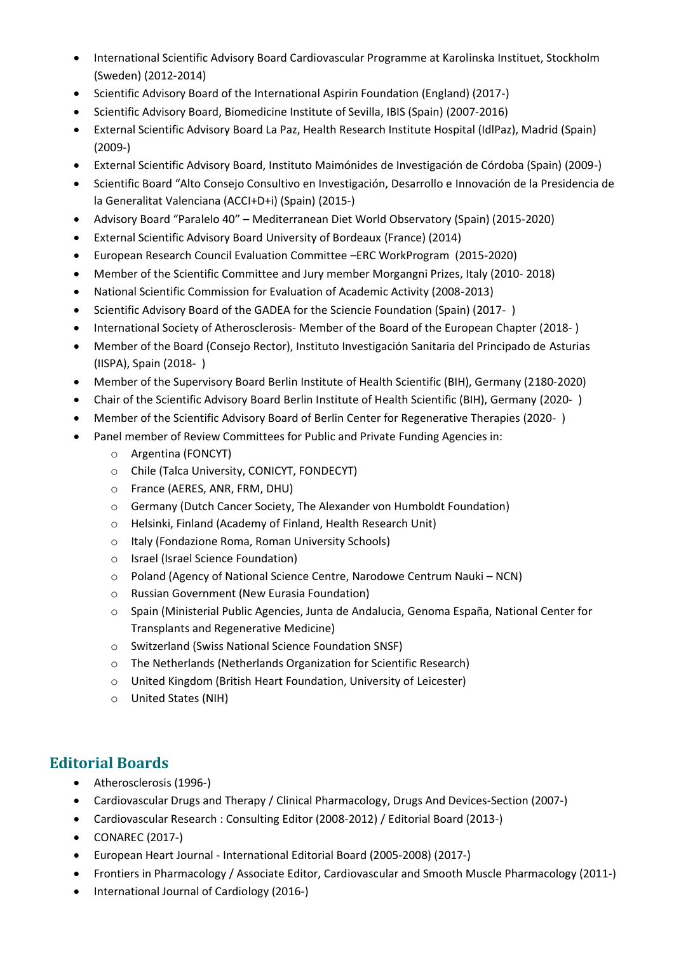- International Scientific Advisory Board Cardiovascular Programme at Karolinska Instituet, Stockholm (Sweden) (2012-2014)
- Scientific Advisory Board of the International Aspirin Foundation (England) (2017-)
- Scientific Advisory Board, Biomedicine Institute of Sevilla, IBIS (Spain) (2007-2016)
- External Scientific Advisory Board La Paz, Health Research Institute Hospital (IdlPaz), Madrid (Spain) (2009-)
- External Scientific Advisory Board, Instituto Maimónides de Investigación de Córdoba (Spain) (2009-)
- Scientific Board "Alto Consejo Consultivo en Investigación, Desarrollo e Innovación de la Presidencia de la Generalitat Valenciana (ACCI+D+i) (Spain) (2015-)
- Advisory Board "Paralelo 40" Mediterranean Diet World Observatory (Spain) (2015-2020)
- External Scientific Advisory Board University of Bordeaux (France) (2014)
- European Research Council Evaluation Committee –ERC WorkProgram (2015-2020)
- Member of the Scientific Committee and Jury member Morgangni Prizes, Italy (2010- 2018)
- National Scientific Commission for Evaluation of Academic Activity (2008-2013)
- Scientific Advisory Board of the GADEA for the Sciencie Foundation (Spain) (2017- )
- International Society of Atherosclerosis- Member of the Board of the European Chapter (2018- )
- Member of the Board (Consejo Rector), Instituto Investigación Sanitaria del Principado de Asturias (IISPA), Spain (2018- )
- Member of the Supervisory Board Berlin Institute of Health Scientific (BIH), Germany (2180-2020)
- Chair of the Scientific Advisory Board Berlin Institute of Health Scientific (BIH), Germany (2020- )
- Member of the Scientific Advisory Board of Berlin Center for Regenerative Therapies (2020- )
- Panel member of Review Committees for Public and Private Funding Agencies in:
	- o Argentina (FONCYT)
	- o Chile (Talca University, CONICYT, FONDECYT)
	- o France (AERES, ANR, FRM, DHU)
	- o Germany (Dutch Cancer Society, The Alexander von Humboldt Foundation)
	- o Helsinki, Finland (Academy of Finland, Health Research Unit)
	- o Italy (Fondazione Roma, Roman University Schools)
	- o Israel (Israel Science Foundation)
	- o Poland (Agency of National Science Centre, Narodowe Centrum Nauki NCN)
	- o Russian Government (New Eurasia Foundation)
	- o Spain (Ministerial Public Agencies, Junta de Andalucia, Genoma España, National Center for Transplants and Regenerative Medicine)
	- o Switzerland (Swiss National Science Foundation SNSF)
	- o The Netherlands (Netherlands Organization for Scientific Research)
	- o United Kingdom (British Heart Foundation, University of Leicester)
	- o United States (NIH)

#### **Editorial Boards**

- Atherosclerosis (1996-)
- Cardiovascular Drugs and Therapy / Clinical Pharmacology, Drugs And Devices-Section (2007-)
- Cardiovascular Research : Consulting Editor (2008-2012) / Editorial Board (2013-)
- CONAREC (2017-)
- European Heart Journal International Editorial Board (2005-2008) (2017-)
- Frontiers in Pharmacology / Associate Editor, Cardiovascular and Smooth Muscle Pharmacology (2011-)
- International Journal of Cardiology (2016-)